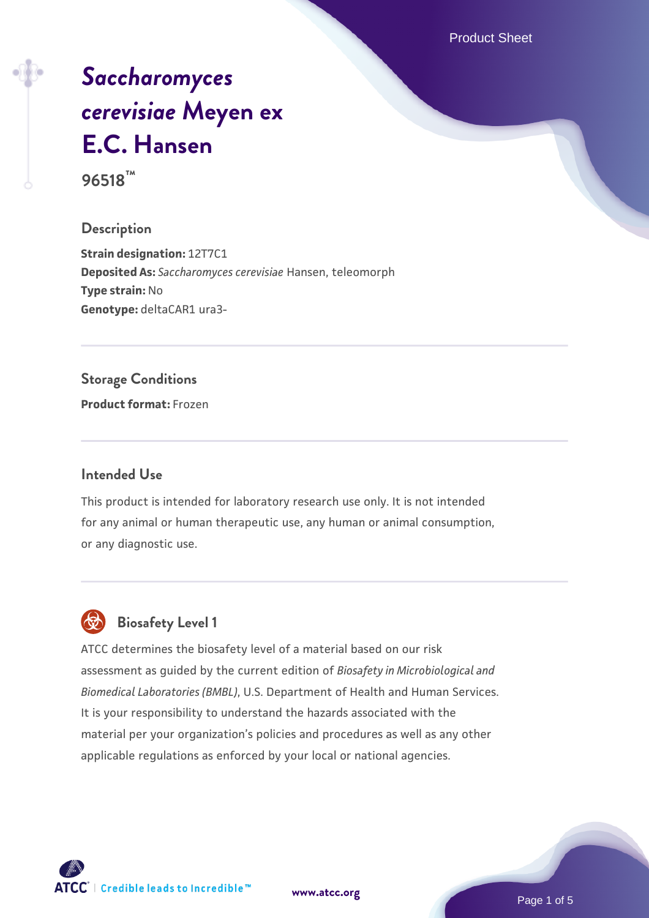Product Sheet

# *[Saccharomyces](https://www.atcc.org/products/96518) [cerevisiae](https://www.atcc.org/products/96518)* **[Meyen ex](https://www.atcc.org/products/96518) [E.C. Hansen](https://www.atcc.org/products/96518) 96518™**

#### **Description**

**Strain designation:** 12T7C1 **Deposited As:** *Saccharomyces cerevisiae* Hansen, teleomorph **Type strain:** No **Genotype:** deltaCAR1 ura3-

### **Storage Conditions**

**Product format:** Frozen

#### **Intended Use**

This product is intended for laboratory research use only. It is not intended for any animal or human therapeutic use, any human or animal consumption, or any diagnostic use.

# **Biosafety Level 1**

ATCC determines the biosafety level of a material based on our risk assessment as guided by the current edition of *Biosafety in Microbiological and Biomedical Laboratories (BMBL)*, U.S. Department of Health and Human Services. It is your responsibility to understand the hazards associated with the material per your organization's policies and procedures as well as any other applicable regulations as enforced by your local or national agencies.

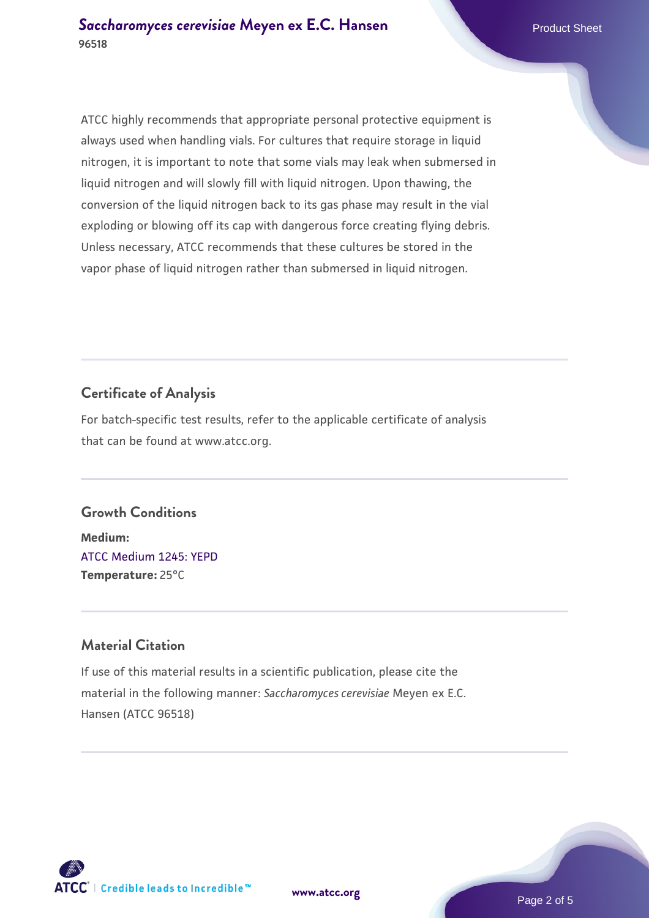ATCC highly recommends that appropriate personal protective equipment is always used when handling vials. For cultures that require storage in liquid nitrogen, it is important to note that some vials may leak when submersed in liquid nitrogen and will slowly fill with liquid nitrogen. Upon thawing, the conversion of the liquid nitrogen back to its gas phase may result in the vial exploding or blowing off its cap with dangerous force creating flying debris. Unless necessary, ATCC recommends that these cultures be stored in the vapor phase of liquid nitrogen rather than submersed in liquid nitrogen.

## **Certificate of Analysis**

For batch-specific test results, refer to the applicable certificate of analysis that can be found at www.atcc.org.

# **Growth Conditions**

**Medium:**  [ATCC Medium 1245: YEPD](https://www.atcc.org/-/media/product-assets/documents/microbial-media-formulations/1/2/4/5/atcc-medium-1245.pdf?rev=705ca55d1b6f490a808a965d5c072196) **Temperature:** 25°C

# **Material Citation**

If use of this material results in a scientific publication, please cite the material in the following manner: *Saccharomyces cerevisiae* Meyen ex E.C. Hansen (ATCC 96518)

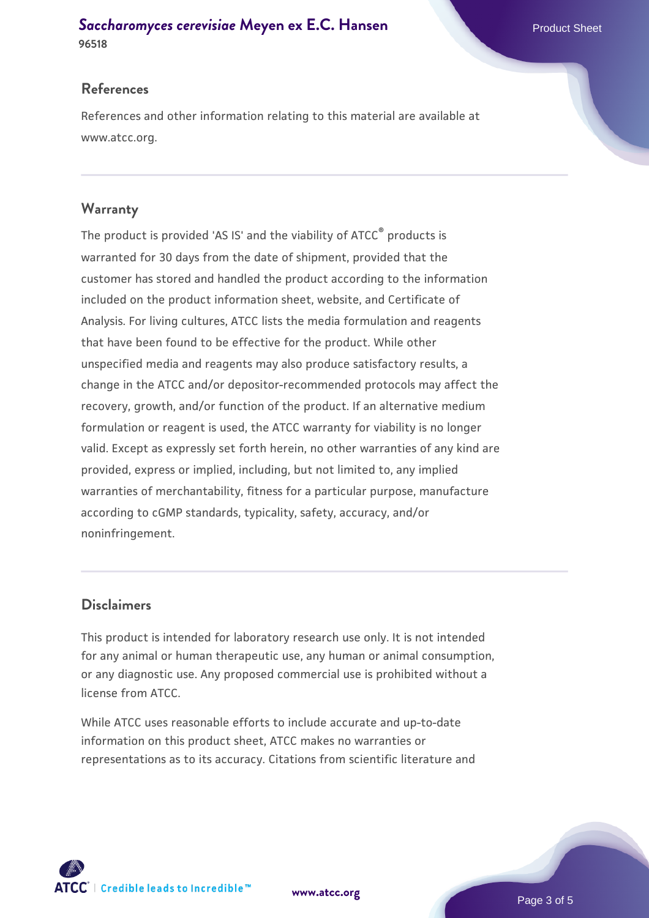#### **[Saccharomyces cerevisiae](https://www.atcc.org/products/96518)** [Meyen ex E.C. Hansen](https://www.atcc.org/products/96518) **96518**

### **References**

References and other information relating to this material are available at www.atcc.org.

#### **Warranty**

The product is provided 'AS IS' and the viability of ATCC® products is warranted for 30 days from the date of shipment, provided that the customer has stored and handled the product according to the information included on the product information sheet, website, and Certificate of Analysis. For living cultures, ATCC lists the media formulation and reagents that have been found to be effective for the product. While other unspecified media and reagents may also produce satisfactory results, a change in the ATCC and/or depositor-recommended protocols may affect the recovery, growth, and/or function of the product. If an alternative medium formulation or reagent is used, the ATCC warranty for viability is no longer valid. Except as expressly set forth herein, no other warranties of any kind are provided, express or implied, including, but not limited to, any implied warranties of merchantability, fitness for a particular purpose, manufacture according to cGMP standards, typicality, safety, accuracy, and/or noninfringement.

#### **Disclaimers**

This product is intended for laboratory research use only. It is not intended for any animal or human therapeutic use, any human or animal consumption, or any diagnostic use. Any proposed commercial use is prohibited without a license from ATCC.

While ATCC uses reasonable efforts to include accurate and up-to-date information on this product sheet, ATCC makes no warranties or representations as to its accuracy. Citations from scientific literature and

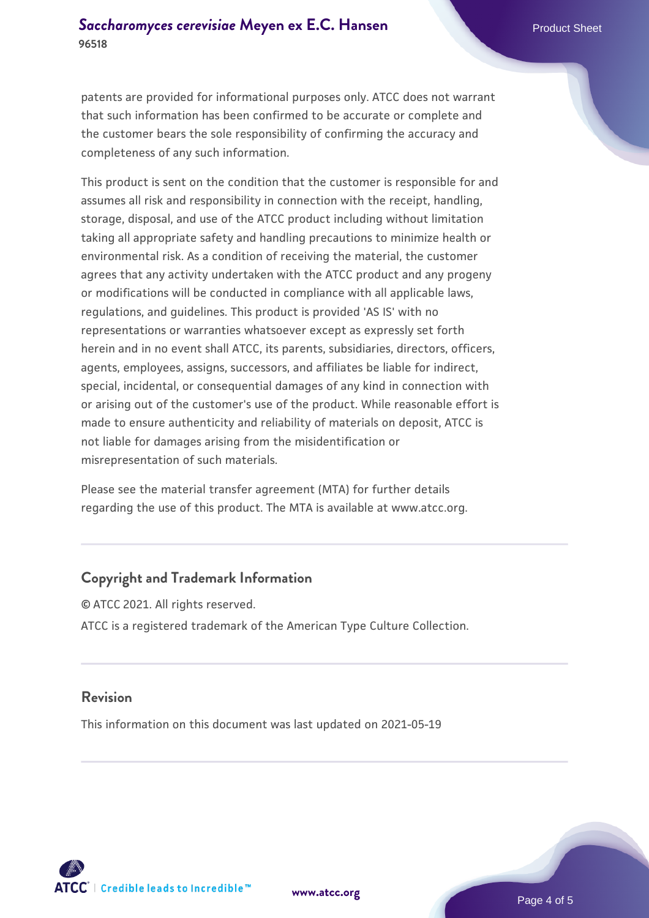patents are provided for informational purposes only. ATCC does not warrant that such information has been confirmed to be accurate or complete and the customer bears the sole responsibility of confirming the accuracy and completeness of any such information.

This product is sent on the condition that the customer is responsible for and assumes all risk and responsibility in connection with the receipt, handling, storage, disposal, and use of the ATCC product including without limitation taking all appropriate safety and handling precautions to minimize health or environmental risk. As a condition of receiving the material, the customer agrees that any activity undertaken with the ATCC product and any progeny or modifications will be conducted in compliance with all applicable laws, regulations, and guidelines. This product is provided 'AS IS' with no representations or warranties whatsoever except as expressly set forth herein and in no event shall ATCC, its parents, subsidiaries, directors, officers, agents, employees, assigns, successors, and affiliates be liable for indirect, special, incidental, or consequential damages of any kind in connection with or arising out of the customer's use of the product. While reasonable effort is made to ensure authenticity and reliability of materials on deposit, ATCC is not liable for damages arising from the misidentification or misrepresentation of such materials.

Please see the material transfer agreement (MTA) for further details regarding the use of this product. The MTA is available at www.atcc.org.

#### **Copyright and Trademark Information**

© ATCC 2021. All rights reserved. ATCC is a registered trademark of the American Type Culture Collection.

#### **Revision**

This information on this document was last updated on 2021-05-19



**[www.atcc.org](http://www.atcc.org)**

Page 4 of 5